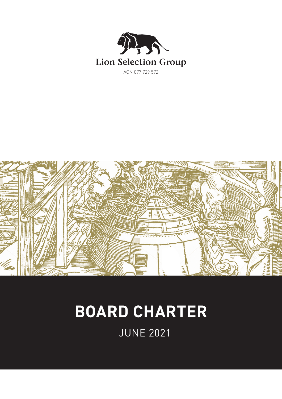



# **BOARD CHARTER**

JUNE 2021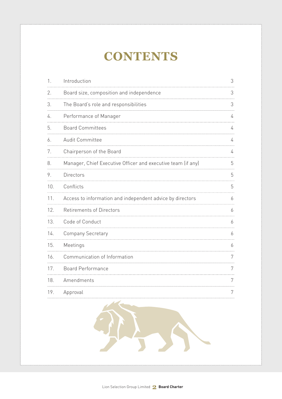# **CONTENTS**

| 1.  | Introduction                                                 | 3 |
|-----|--------------------------------------------------------------|---|
| 2.  | Board size, composition and independence                     | 3 |
| З.  | The Board's role and responsibilities                        | 3 |
| 4.  | Performance of Manager                                       | 4 |
| 5.  | <b>Board Committees</b>                                      | 4 |
| 6.  | <b>Audit Committee</b>                                       | 4 |
| 7.  | Chairperson of the Board                                     | 4 |
| 8.  | Manager, Chief Executive Officer and executive team (if any) | 5 |
| 9.  | Directors                                                    | 5 |
| 10. | Conflicts                                                    | 5 |
| 11. | Access to information and independent advice by directors    | 6 |
| 12. | <b>Retirements of Directors</b>                              | 6 |
| 13. | Code of Conduct                                              | 6 |
| 14. | <b>Company Secretary</b>                                     | 6 |
| 15. | Meetings                                                     | 6 |
| 16. | Communication of Information                                 | 7 |
| 17. | <b>Board Performance</b>                                     | 7 |
| 18. | Amendments                                                   | 7 |
| 19. | Approval                                                     | 7 |

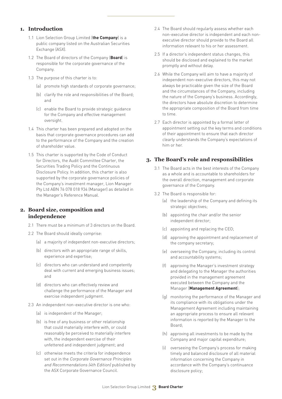#### **1. Introduction**

- 1.1 Lion Selection Group Limited (**the Company**) is a public company listed on the Australian Securities Exchange (ASX).
- 1.2 The Board of directors of the Company (**Board**) is responsible for the corporate governance of the Company.
- 1.3 The purpose of this charter is to:
	- (a) promote high standards of corporate governance;
	- (b) clarify the role and responsibilities of the Board; and
	- (c) enable the Board to provide strategic guidance for the Company and effective management oversight.
- 1.4 This charter has been prepared and adopted on the basis that corporate governance procedures can add to the performance of the Company and the creation of shareholder value.
- 1.5 This charter is supported by the Code of Conduct for Directors, the Audit Committee Charter, the Securities Trading Policy and the Continuous Disclosure Policy. In addition, this charter is also supported by the corporate governance policies of the Company's investment manager, Lion Manager Pty Ltd ABN 76 078 018 934 (Manager) as detailed in the Manager's Reference Manual.

# **2. Board size, composition and independence**

- 2.1 There must be a minimum of 3 directors on the Board.
- 2.2 The Board should ideally comprise:
	- (a) a majority of independent non-executive directors;
	- (b) directors with an appropriate range of skills, experience and expertise;
	- (c) directors who can understand and competently deal with current and emerging business issues; and
	- (d) directors who can effectively review and challenge the performance of the Manager and exercise independent judgment.
- 2.3 An independent non-executive director is one who:
	- (a) is independent of the Manager;
	- (b) is free of any business or other relationship that could materially interfere with, or could reasonably be perceived to materially interfere with, the independent exercise of their unfettered and independent judgment; and
	- (c) otherwise meets the criteria for independence set out in the Corporate Governance Principles and Recommendations (4th Edition) published by the ASX Corporate Governance Council.
- 2.4 The Board should regularly assess whether each non-executive director is independent and each nonexecutive director should provide to the Board all information relevant to his or her assessment.
- 2.5 If a director's independent status changes, this should be disclosed and explained to the market promptly and without delay.
- 2.6 While the Company will aim to have a majority of independent non-executive directors, this may not always be practicable given the size of the Board and the circumstances of the Company, including the nature of the Company's business. Accordingly, the directors have absolute discretion to determine the appropriate composition of the Board from time to time.
- 2.7 Each director is appointed by a formal letter of appointment setting out the key terms and conditions of their appointment to ensure that each director clearly understands the Company's expectations of him or her.

# **3. The Board's role and responsibilities**

- 3.1 The Board acts in the best interests of the Company as a whole and is accountable to shareholders for the overall direction, management and corporate governance of the Company.
- 3.2 The Board is responsible for:
	- (a) the leadership of the Company and defining its strategic objectives;
	- (b) appointing the chair and/or the senior independent director;
	- (c) appointing and replacing the CEO;
	- (d) approving the appointment and replacement of the company secretary;
	- (e) overseeing the Company, including its control and accountability systems;
	- (f) approving the Manager's investment strategy and delegating to the Manager the authorities provided in the management agreement executed between the Company and the Manager (**Management Agreement**);
	- (g) monitoring the performance of the Manager and its compliance with its obligations under the Management Agreement including maintaining an appropriate process to ensure all relevant information is reported by the Manager to the Board;
	- (h) approving all investments to be made by the Company and major capital expenditure;
	- (i) overseeing the Company's process for making timely and balanced disclosure of all material information concerning the Company in accordance with the Company's continuance disclosure policy;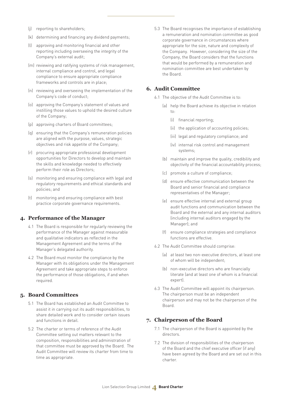- (j) reporting to shareholders;
- (k) determining and financing any dividend payments;
- (l) approving and monitoring financial and other reporting including overseeing the integrity of the Company's external audit;
- (m) reviewing and ratifying systems of risk management, internal compliance and control, and legal compliance to ensure appropriate compliance frameworks and controls are in place;
- (n) reviewing and overseeing the implementation of the Company's code of conduct;
- (o) approving the Company's statement of values and instilling those values to uphold the desired culture of the Company;
- (p) approving charters of Board committees;
- (q) ensuring that the Company's remuneration policies are aligned with the purpose, values, strategic objectives and risk appetite of the Company;
- (r) procuring appropriate professional development opportunities for Directors to develop and maintain the skills and knowledge needed to effectively perform their role as Directors;
- (s) monitoring and ensuring compliance with legal and regulatory requirements and ethical standards and policies; and
- (t) monitoring and ensuring compliance with best practice corporate governance requirements.

#### **4. Performance of the Manager**

- 4.1 The Board is responsible for regularly reviewing the performance of the Manager against measurable and qualitative indicators as reflected in the Management Agreement and the terms of the Manager's delegated authority.
- 4.2 The Board must monitor the compliance by the Manager with its obligations under the Management Agreement and take appropriate steps to enforce the performance of those obligations, if and when required.

# **5. Board Committees**

- 5.1 The Board has established an Audit Committee to assist it in carrying out its audit responsibilities, to share detailed work and to consider certain issues and functions in detail.
- 5.2 The charter or terms of reference of the Audit Committee setting out matters relevant to the composition, responsibilities and administration of that committee must be approved by the Board. The Audit Committee will review its charter from time to time as appropriate.

5.3 The Board recognises the importance of establishing a remuneration and nomination committee as good corporate governance in circumstances where appropriate for the size, nature and complexity of the Company. However, considering the size of the Company, the Board considers that the functions that would be performed by a remuneration and nomination committee are best undertaken by the Board.

#### **6. Audit Committee**

- 6.1 The objective of the Audit Committee is to:
	- (a) help the Board achieve its objective in relation to:
		- (i) financial reporting;
		- (ii) the application of accounting policies;
		- (iii) legal and regulatory compliance; and
		- (iv) internal risk control and management systems;
	- (b) maintain and improve the quality, credibility and objectivity of the financial accountability process;
	- (c) promote a culture of compliance;
	- (d) ensure effective communication between the Board and senior financial and compliance representatives of the Manager;
	- (e) ensure effective internal and external group audit functions and communication between the Board and the external and any internal auditors (including internal auditors engaged by the Manager); and
	- (f) ensure compliance strategies and compliance functions are effective.
- 6.2 The Audit Committee should comprise:
	- (a) at least two non-executive directors, at least one of whom will be independent;
	- (b) non-executive directors who are financially literate (and at least one of whom is a financial expert).
- 6.3 The Audit Committee will appoint its chairperson. The chairperson must be an independent chairperson and may not be the chairperson of the Board.

#### **7. Chairperson of the Board**

- 7.1 The chairperson of the Board is appointed by the directors.
- 7.2 The division of responsibilities of the chairperson of the Board and the chief executive officer (if any) have been agreed by the Board and are set out in this charter.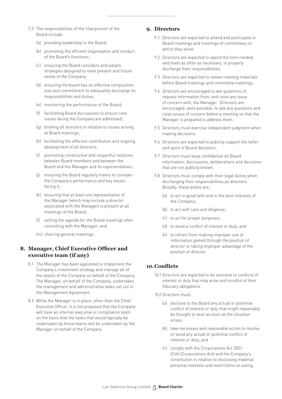- 7.3 The responsibilities of the chairperson of the Board include:
	- (a) providing leadership to the Board;
	- (b) promoting the efficient organisation and conduct of the Board's functions;
	- (c) ensuring the Board considers and adopts strategies designed to meet present and future needs of the Company;
	- (d) ensuring the board has an effective composition, size and commitment to adequately discharge its responsibilities and duties;
	- (e) monitoring the performance of the Board;
	- (f) facilitating Board discussions to ensure core issues facing the Company are addressed;
	- (g) briefing all directors in relation to issues arising at Board meetings;
	- (h) facilitating the effective contribution and ongoing development of all directors;
	- (i) promoting constructive and respectful relations between Board members and between the Board and the Manager and its representatives;
	- (j) ensuring the Board regularly meets to consider the Company's performance and key issues facing it;
	- (k) ensuring that at least one representative of the Manager (which may include a director associated with the Manager) is present at all meetings of the Board;
	- (l) setting the agenda for the Board meetings after consulting with the Manager; and
	- (m) chairing general meetings.

# **8. Manager, Chief Executive Officer and executive team (if any)**

- 8.1 The Manager has been appointed to implement the Company's investment strategy and manage all of the assets of the Company on behalf of the Company. The Manager, on behalf of the Company, undertakes the management and administrative tasks set out in the Management Agreement.
- 8.2 While the Manager is in place, other than the Chief Executive Officer, it is not proposed that the Company will have an internal executive or compliance team on the basis that the tasks that would typically be undertaken by those teams will be undertaken by the Manager on behalf of the Company.

# **9. Directors**

- 9.1 Directors are expected to attend and participate in Board meetings and meetings of committees on which they serve.
- 9.2 Directors are expected to spend the time needed, and meet as often as necessary, to properly discharge their responsibilities.
- 9.3 Directors are expected to review meeting materials before Board meetings and committee meetings.
- 9.4 Directors are encouraged to ask questions of, request information from, and raise any issue of concern with, the Manager. Directors are encouraged, were possible, to ask any questions and raise issues of concern before a meeting so that the Manager is prepared to address them.
- 9.5 Directors must exercise independent judgment when making decisions.
- 9.6 Directors are expected to publicly support the letter and spirit of Board decisions.
- 9.7 Directors must keep confidential all Board information, discussions, deliberations and decisions that are not publicly known.
- 9.8 Directors must comply with their legal duties when discharging their responsibilities as directors. Broadly, these duties are:
	- (a) to act in good faith and in the best interests of the Company;
	- (b) to act with care and diligence;
	- (c) to act for proper purposes;
	- (d) to avoid a conflict of interest or duty; and
	- (e) to refrain from making improper use of information gained through the position of director or taking improper advantage of the position of director.

#### **10. Conflicts**

- 10.1 Directors are expected to be sensitive to conflicts of interest or duty that may arise and mindful of their fiduciary obligations.
- 10.2 Directors must:
	- (a) disclose to the Board any actual or potential conflict of interest or duty that might reasonably be thought to exist as soon as the situation arises;
	- (b) take necessary and reasonable action to resolve or avoid any actual or potential conflict of interest or duty; and
	- (c) comply with the Corporations Act 2001 (Cth) (Corporations Act) and the Company's constitution in relation to disclosing material personal interests and restrictions on voting.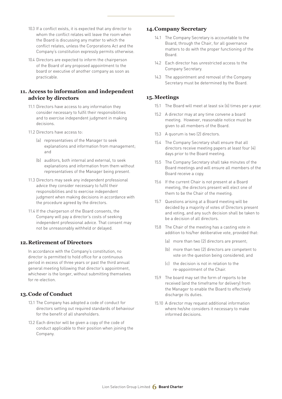- 10.3 If a conflict exists, it is expected that any director to whom the conflict relates will leave the room when the Board is discussing any matter to which the conflict relates, unless the Corporations Act and the Company's constitution expressly permits otherwise.
- 10.4 Directors are expected to inform the chairperson of the Board of any proposed appointment to the board or executive of another company as soon as practicable.

# **11. Access to information and independent advice by directors**

- 11.1 Directors have access to any information they consider necessary to fulfil their responsibilities and to exercise independent judgment in making decisions.
- 11.2 Directors have access to:
	- (a) representatives of the Manager to seek explanations and information from management; and
	- (b) auditors, both internal and external, to seek explanations and information from them without representatives of the Manager being present.
- 11.3 Directors may seek any independent professional advice they consider necessary to fulfil their responsibilities and to exercise independent judgment when making decisions in accordance with the procedure agreed by the directors.
- 11.4 If the chairperson of the Board consents, the Company will pay a director's costs of seeking independent professional advice. That consent may not be unreasonably withheld or delayed.

# **12.Retirement of Directors**

In accordance with the Company's constitution, no director is permitted to hold office for a continuous period in excess of three years or past the third annual general meeting following that director's appointment, whichever is the longer, without submitting themselves for re-election.

### **13.Code of Conduct**

- 13.1 The Company has adopted a code of conduct for directors setting out required standards of behaviour for the benefit of all shareholders.
- 13.2 Each director will be given a copy of the code of conduct applicable to their position when joining the Company.

#### **14.Company Secretary**

- 14.1 The Company Secretary is accountable to the Board, through the Chair, for all governance matters to do with the proper functioning of the Board.
- 14.2 Each director has unrestricted access to the Company Secretary.
- 14.3 The appointment and removal of the Company Secretary must be determined by the Board.

# **15.Meetings**

- 15.1 The Board will meet at least six (6) times per a year.
- 15.2 A director may at any time convene a board meeting. However, reasonable notice must be given to all members of the Board.
- 15.3 A quorum is two (2) directors.
- 15.4 The Company Secretary shall ensure that all directors receive meeting papers at least four (4) days prior to the Board meeting.
- 15.5 The Company Secretary shall take minutes of the Board meetings and will ensure all members of the Board receive a copy.
- 15.6 If the current Chair is not present at a Board meeting, the directors present will elect one of them to be the Chair of the meeting.
- 15.7 Questions arising at a Board meeting will be decided by a majority of votes of Directors present and voting, and any such decision shall be taken to be a decision of all directors.
- 15.8 The Chair of the meeting has a casting vote in addition to his/her deliberative vote, provided that:
	- (a) more than two (2) directors are present;
	- (b) more than two (2) directors are competent to vote on the question being considered; and
	- (c) the decision is not in relation to the re-appointment of the Chair.
- 15.9 The board may set the form of reports to be received (and the timeframe for delivery) from the Manager to enable the Board to effectively discharge its duties.
- 15.10 A director may request additional information where he/she considers it necessary to make informed decisions.